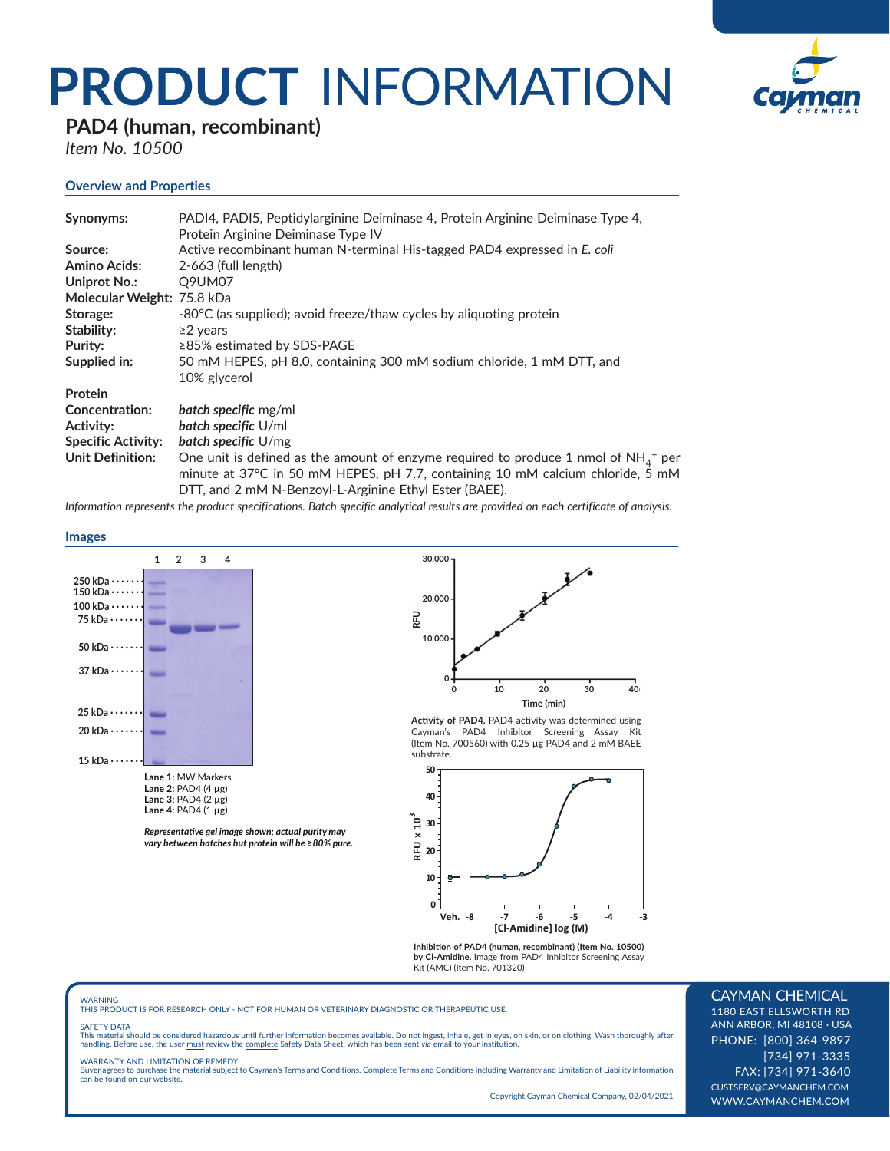# **PRODUCT** INFORMATION



**PAD4 (human, recombinant)**

*Item No. 10500*

# **Overview and Properties**

| Synonyms:                  | PADI4, PADI5, Peptidylarginine Deiminase 4, Protein Arginine Deiminase Type 4,<br>Protein Arginine Deiminase Type IV                                                                                                                            |
|----------------------------|-------------------------------------------------------------------------------------------------------------------------------------------------------------------------------------------------------------------------------------------------|
| Source:                    | Active recombinant human N-terminal His-tagged PAD4 expressed in E. coli                                                                                                                                                                        |
| <b>Amino Acids:</b>        | $2-663$ (full length)                                                                                                                                                                                                                           |
| Uniprot No.:               | Q9UM07                                                                                                                                                                                                                                          |
| Molecular Weight: 75.8 kDa |                                                                                                                                                                                                                                                 |
| Storage:                   | -80°C (as supplied); avoid freeze/thaw cycles by aliquoting protein                                                                                                                                                                             |
| Stability:                 | $\geq$ years                                                                                                                                                                                                                                    |
| Purity:                    | $\geq$ 85% estimated by SDS-PAGE                                                                                                                                                                                                                |
| Supplied in:               | 50 mM HEPES, pH 8.0, containing 300 mM sodium chloride, 1 mM DTT, and                                                                                                                                                                           |
|                            | 10% glycerol                                                                                                                                                                                                                                    |
| Protein                    |                                                                                                                                                                                                                                                 |
| <b>Concentration:</b>      | <b>batch specific</b> mg/ml                                                                                                                                                                                                                     |
| Activity:                  | <b>batch specific U/ml</b>                                                                                                                                                                                                                      |
| <b>Specific Activity:</b>  | <b>batch specific</b> $U/mg$                                                                                                                                                                                                                    |
| <b>Unit Definition:</b>    | One unit is defined as the amount of enzyme required to produce 1 nmol of $NH_{4}$ <sup>+</sup> per<br>minute at 37°C in 50 mM HEPES, pH 7.7, containing 10 mM calcium chloride, 5 mM<br>DTT, and 2 mM N-Benzoyl-L-Arginine Ethyl Ester (BAEE). |

*Information represents the product specifications. Batch specific analytical results are provided on each certificate of analysis.*

#### **Images**



Representative gel image shown; actual purity may *vary between batches but protein will be ≥80% pure.*



Activity of PAD4. PAD4 activity was determined using Cayman's PAD4 Inhibitor Screening Assay Kit (Item No. 700560) with 0.25 µg PAD4 and 2 mM BAEE substrate.



**Inhibition of PAD4 (human, recombinant) (Item No. 10500)**<br>**by Cl-Amidine.** Image from PAD4 Inhibitor Screening Assay<br>Kit (AMC) (Item No. 701320)

WARNING THIS PRODUCT IS FOR RESEARCH ONLY - NOT FOR HUMAN OR VETERINARY DIAGNOSTIC OR THERAPEUTIC USE.

#### SAFETY DATA

This material should be considered hazardous until further information becomes available. Do not ingest, inhale, get in eyes, on skin, or on clothing. Wash thoroughly after<br>handling. Before use, the user must review the co

#### WARRANTY AND LIMITATION OF REMEDY

Buyer agrees to purchase the material subject to Cayman's Terms and Conditions. Complete Terms and Conditions including Warranty and Limitation of Liability information can be found on our website.

Copyright Cayman Chemical Company, 02/04/2021

## CAYMAN CHEMICAL

1180 EAST ELLSWORTH RD ANN ARBOR, MI 48108 · USA PHONE: [800] 364-9897 [734] 971-3335 FAX: [734] 971-3640 CUSTSERV@CAYMANCHEM.COM WWW.CAYMANCHEM.COM